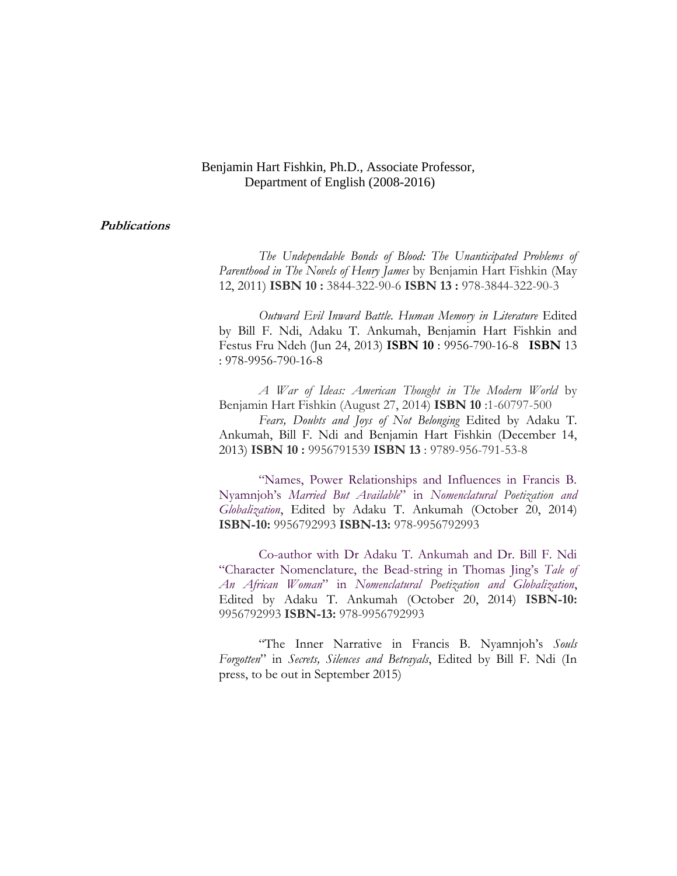## Benjamin Hart Fishkin, Ph.D., Associate Professor, Department of English (2008-2016)

## **Publications**

*The Undependable Bonds of Blood: The Unanticipated Problems of Parenthood in The Novels of Henry James* by Benjamin Hart Fishkin (May 12, 2011) **ISBN 10 :** 3844-322-90-6 **ISBN 13 :** 978-3844-322-90-3

*Outward Evil Inward Battle. Human Memory in Literature* Edited by Bill F. Ndi, Adaku T. Ankumah, Benjamin Hart Fishkin and Festus Fru Ndeh (Jun 24, 2013) **ISBN 10** : 9956-790-16-8 **ISBN** 13 : 978-9956-790-16-8

*A War of Ideas: American Thought in The Modern World* by Benjamin Hart Fishkin (August 27, 2014) **ISBN 10** :1-60797-500

*Fears, Doubts and Joys of Not Belonging* Edited by Adaku T. Ankumah, Bill F. Ndi and Benjamin Hart Fishkin (December 14, 2013) **ISBN 10 :** 9956791539 **ISBN 13** : 9789-956-791-53-8

"Names, Power Relationships and Influences in Francis B. Nyamnjoh's *Married But Available*" in *Nomenclatural Poetization and Globalization*, Edited by Adaku T. Ankumah (October 20, 2014) **ISBN-10:** 9956792993 **ISBN-13:** 978-9956792993

Co-author with Dr Adaku T. Ankumah and Dr. Bill F. Ndi "Character Nomenclature, the Bead-string in Thomas Jing's *Tale of An African Woman*" in *Nomenclatural Poetization and Globalization*, Edited by Adaku T. Ankumah (October 20, 2014) **ISBN-10:** 9956792993 **ISBN-13:** 978-9956792993

"The Inner Narrative in Francis B. Nyamnjoh's *Souls Forgotten*" in *Secrets, Silences and Betrayals*, Edited by Bill F. Ndi (In press, to be out in September 2015)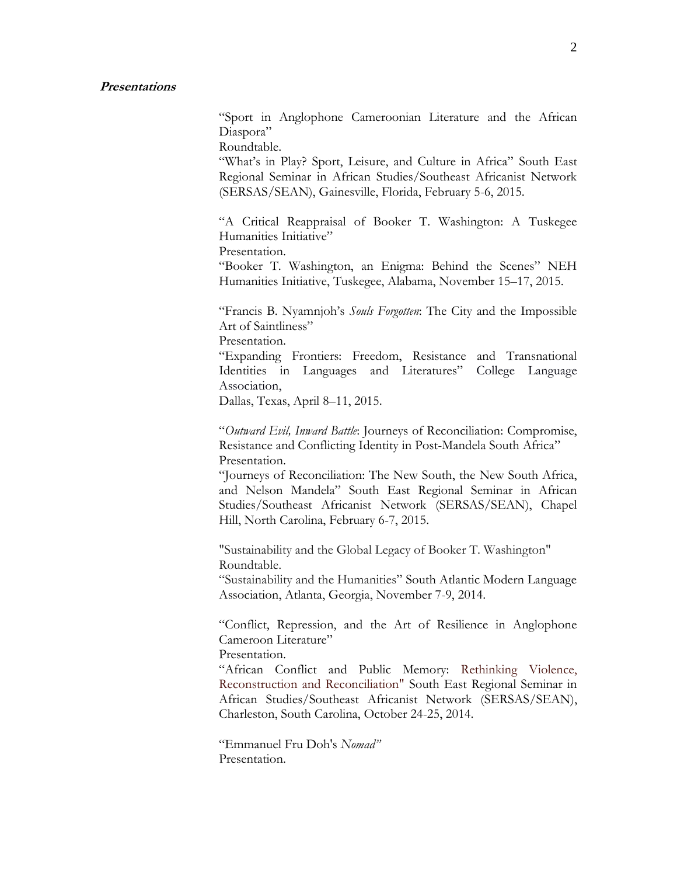"Sport in Anglophone Cameroonian Literature and the African Diaspora"

Roundtable.

"What's in Play? Sport, Leisure, and Culture in Africa" South East Regional Seminar in African Studies/Southeast Africanist Network (SERSAS/SEAN), Gainesville, Florida, February 5-6, 2015.

"A Critical Reappraisal of Booker T. Washington: A Tuskegee Humanities Initiative"

Presentation.

"Booker T. Washington, an Enigma: Behind the Scenes" NEH Humanities Initiative, Tuskegee, Alabama, November 15–17, 2015.

"Francis B. Nyamnjoh's *Souls Forgotten*: The City and the Impossible Art of Saintliness"

Presentation.

"Expanding Frontiers: Freedom, Resistance and Transnational Identities in Languages and Literatures" College Language Association,

Dallas, Texas, April 8–11, 2015.

"*Outward Evil, Inward Battle*: Journeys of Reconciliation: Compromise, Resistance and Conflicting Identity in Post-Mandela South Africa" Presentation.

"Journeys of Reconciliation: The New South, the New South Africa, and Nelson Mandela" South East Regional Seminar in African Studies/Southeast Africanist Network (SERSAS/SEAN), Chapel Hill, North Carolina, February 6-7, 2015.

"Sustainability and the Global Legacy of Booker T. Washington" Roundtable.

"Sustainability and the Humanities" South Atlantic Modern Language Association, Atlanta, Georgia, November 7-9, 2014.

"Conflict, Repression, and the Art of Resilience in Anglophone Cameroon Literature"

Presentation.

"African Conflict and Public Memory: Rethinking Violence, Reconstruction and Reconciliation" South East Regional Seminar in African Studies/Southeast Africanist Network (SERSAS/SEAN), Charleston, South Carolina, October 24-25, 2014.

"Emmanuel Fru Doh's *Nomad"* Presentation.